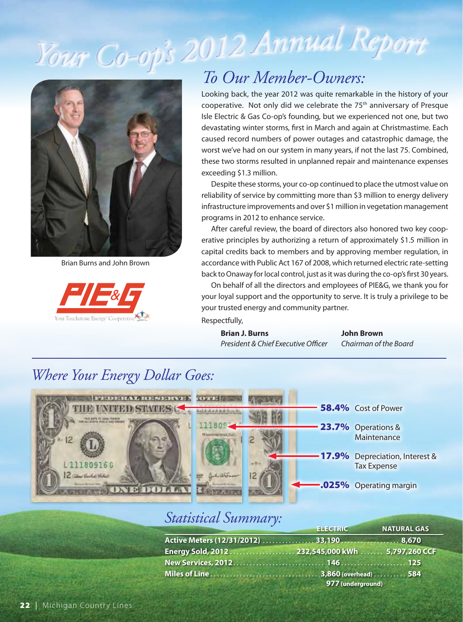# *Y<sup>o</sup>ur C<sup>o</sup>-<sup>o</sup>p' <sup>s</sup> <sup>2</sup>012 Annu<sup>a</sup>l Rep<sup>o</sup>r<sup>t</sup>*





### *To Our Member-Owners:*

 Looking back, the year 2012 was quite remarkable in the history of your cooperative. Not only did we celebrate the 75<sup>th</sup> anniversary of Presque devastating winter storms, first in March and again at Christmastime. Each exceeding \$1.3 million. Isle Electric & Gas Co-op's founding, but we experienced not one, but two caused record numbers of power outages and catastrophic damage, the worst we've had on our system in many years, if not the last 75. Combined, these two storms resulted in unplanned repair and maintenance expenses

 reliability of service by committing more than \$3 million to energy delivery infrastructure improvements and over \$1 million in vegetation management programs in 2012 to enhance service. Despite these storms, your co-op continued to place the utmost value on

 erative principles by authorizing a return of approximately \$1.5 million in back to Onaway for local control, just as it was during the co-op's first 30 years. After careful review, the board of directors also honored two key coopcapital credits back to members and by approving member regulation, in Brian Burns and John Brown accordance with Public Act 167 of 2008, which returned electric rate-setting

> On behalf of all the directors and employees of PIE&G, we thank you for your loyal support and the opportunity to serve. It is truly a privilege to be your trusted energy and community partner. Respectfully,

**Brian J. Burns John Brown President & Chief Executive Officer** Chairman of the Board

### *Where Your Energy Dollar Goes:*



#### *Statistical Summary:*

|                                                   | <b>ELECTRIC</b>   | <b>NATURAL GAS</b> |  |
|---------------------------------------------------|-------------------|--------------------|--|
| Active Meters (12/31/2012)  33,190  8,670         |                   |                    |  |
| Energy Sold, 2012  232,545,000 kWh  5,797,260 CCF |                   |                    |  |
|                                                   |                   |                    |  |
|                                                   |                   |                    |  |
|                                                   | 977 (underground) |                    |  |